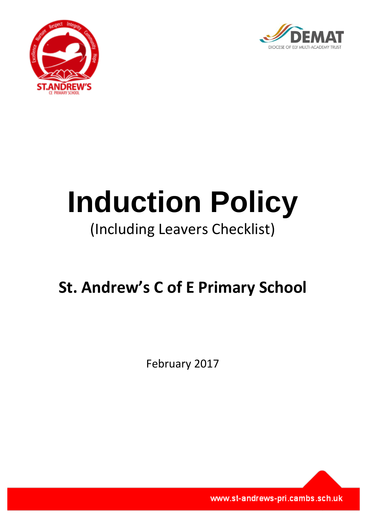



# **Induction Policy** (Including Leavers Checklist)

# **St. Andrew's C of E Primary School**

February 2017

www.st-andrews-pri.cambs.sch.uk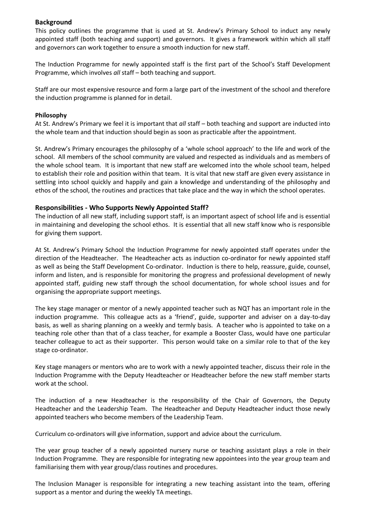#### **Background**

This policy outlines the programme that is used at St. Andrew's Primary School to induct any newly appointed staff (both teaching and support) and governors. It gives a framework within which all staff and governors can work together to ensure a smooth induction for new staff.

The Induction Programme for newly appointed staff is the first part of the School's Staff Development Programme, which involves *all* staff – both teaching and support.

Staff are our most expensive resource and form a large part of the investment of the school and therefore the induction programme is planned for in detail.

#### **Philosophy**

At St. Andrew's Primary we feel it is important that *all* staff – both teaching and support are inducted into the whole team and that induction should begin as soon as practicable after the appointment.

St. Andrew's Primary encourages the philosophy of a 'whole school approach' to the life and work of the school. All members of the school community are valued and respected as individuals and as members of the whole school team. It is important that new staff are welcomed into the whole school team, helped to establish their role and position within that team. It is vital that new staff are given every assistance in settling into school quickly and happily and gain a knowledge and understanding of the philosophy and ethos of the school, the routines and practices that take place and the way in which the school operates.

#### **Responsibilities - Who Supports Newly Appointed Staff?**

The induction of all new staff, including support staff, is an important aspect of school life and is essential in maintaining and developing the school ethos. It is essential that all new staff know who is responsible for giving them support.

At St. Andrew's Primary School the Induction Programme for newly appointed staff operates under the direction of the Headteacher. The Headteacher acts as induction co-ordinator for newly appointed staff as well as being the Staff Development Co-ordinator. Induction is there to help, reassure, guide, counsel, inform and listen, and is responsible for monitoring the progress and professional development of newly appointed staff, guiding new staff through the school documentation, for whole school issues and for organising the appropriate support meetings.

The key stage manager or mentor of a newly appointed teacher such as NQT has an important role in the induction programme. This colleague acts as a 'friend', guide, supporter and adviser on a day-to-day basis, as well as sharing planning on a weekly and termly basis. A teacher who is appointed to take on a teaching role other than that of a class teacher, for example a Booster Class, would have one particular teacher colleague to act as their supporter. This person would take on a similar role to that of the key stage co-ordinator.

Key stage managers or mentors who are to work with a newly appointed teacher, discuss their role in the Induction Programme with the Deputy Headteacher or Headteacher before the new staff member starts work at the school.

The induction of a new Headteacher is the responsibility of the Chair of Governors, the Deputy Headteacher and the Leadership Team. The Headteacher and Deputy Headteacher induct those newly appointed teachers who become members of the Leadership Team.

Curriculum co-ordinators will give information, support and advice about the curriculum.

The year group teacher of a newly appointed nursery nurse or teaching assistant plays a role in their Induction Programme. They are responsible for integrating new appointees into the year group team and familiarising them with year group/class routines and procedures.

The Inclusion Manager is responsible for integrating a new teaching assistant into the team, offering support as a mentor and during the weekly TA meetings.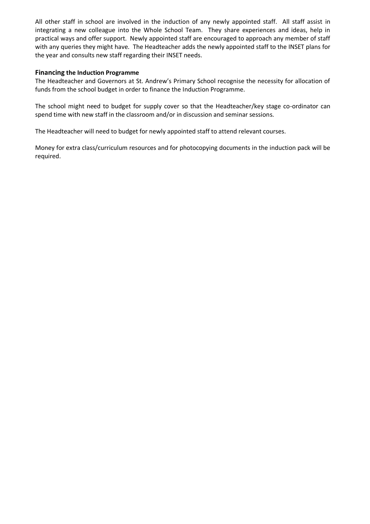All other staff in school are involved in the induction of any newly appointed staff. All staff assist in integrating a new colleague into the Whole School Team. They share experiences and ideas, help in practical ways and offer support. Newly appointed staff are encouraged to approach any member of staff with any queries they might have. The Headteacher adds the newly appointed staff to the INSET plans for the year and consults new staff regarding their INSET needs.

#### **Financing the Induction Programme**

The Headteacher and Governors at St. Andrew's Primary School recognise the necessity for allocation of funds from the school budget in order to finance the Induction Programme.

The school might need to budget for supply cover so that the Headteacher/key stage co-ordinator can spend time with new staff in the classroom and/or in discussion and seminar sessions.

The Headteacher will need to budget for newly appointed staff to attend relevant courses.

Money for extra class/curriculum resources and for photocopying documents in the induction pack will be required.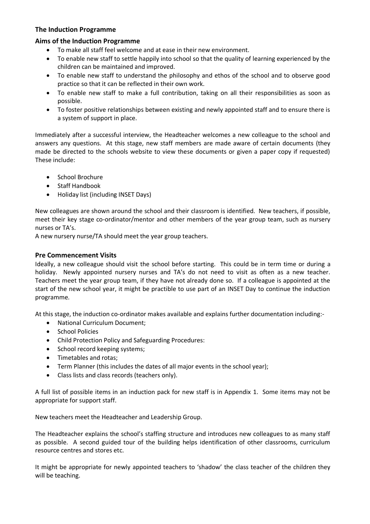#### **The Induction Programme**

#### **Aims of the Induction Programme**

- To make all staff feel welcome and at ease in their new environment.
- To enable new staff to settle happily into school so that the quality of learning experienced by the children can be maintained and improved.
- To enable new staff to understand the philosophy and ethos of the school and to observe good practice so that it can be reflected in their own work.
- To enable new staff to make a full contribution, taking on all their responsibilities as soon as possible.
- To foster positive relationships between existing and newly appointed staff and to ensure there is a system of support in place.

Immediately after a successful interview, the Headteacher welcomes a new colleague to the school and answers any questions. At this stage, new staff members are made aware of certain documents (they made be directed to the schools website to view these documents or given a paper copy if requested) These include:

- School Brochure
- Staff Handbook
- Holiday list (including INSET Days)

New colleagues are shown around the school and their classroom is identified. New teachers, if possible, meet their key stage co-ordinator/mentor and other members of the year group team, such as nursery nurses or TA's.

A new nursery nurse/TA should meet the year group teachers.

#### **Pre Commencement Visits**

Ideally, a new colleague should visit the school before starting. This could be in term time or during a holiday. Newly appointed nursery nurses and TA's do not need to visit as often as a new teacher. Teachers meet the year group team, if they have not already done so. If a colleague is appointed at the start of the new school year, it might be practible to use part of an INSET Day to continue the induction programme.

At this stage, the induction co-ordinator makes available and explains further documentation including:-

- National Curriculum Document;
- School Policies
- Child Protection Policy and Safeguarding Procedures:
- School record keeping systems;
- Timetables and rotas;
- Term Planner (this includes the dates of all major events in the school year);
- Class lists and class records (teachers only).

A full list of possible items in an induction pack for new staff is in Appendix 1. Some items may not be appropriate for support staff.

New teachers meet the Headteacher and Leadership Group.

The Headteacher explains the school's staffing structure and introduces new colleagues to as many staff as possible. A second guided tour of the building helps identification of other classrooms, curriculum resource centres and stores etc.

It might be appropriate for newly appointed teachers to 'shadow' the class teacher of the children they will be teaching.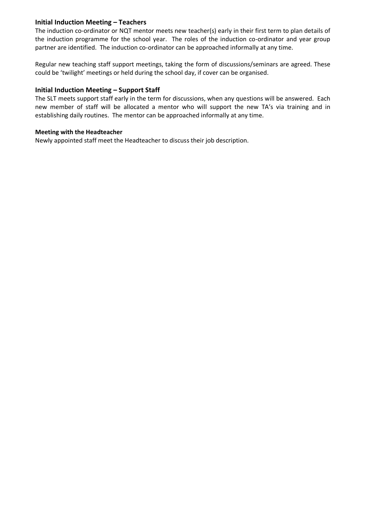#### **Initial Induction Meeting – Teachers**

The induction co-ordinator or NQT mentor meets new teacher(s) early in their first term to plan details of the induction programme for the school year. The roles of the induction co-ordinator and year group partner are identified. The induction co-ordinator can be approached informally at any time.

Regular new teaching staff support meetings, taking the form of discussions/seminars are agreed. These could be 'twilight' meetings or held during the school day, if cover can be organised.

#### **Initial Induction Meeting – Support Staff**

The SLT meets support staff early in the term for discussions, when any questions will be answered. Each new member of staff will be allocated a mentor who will support the new TA's via training and in establishing daily routines. The mentor can be approached informally at any time.

#### **Meeting with the Headteacher**

Newly appointed staff meet the Headteacher to discuss their job description.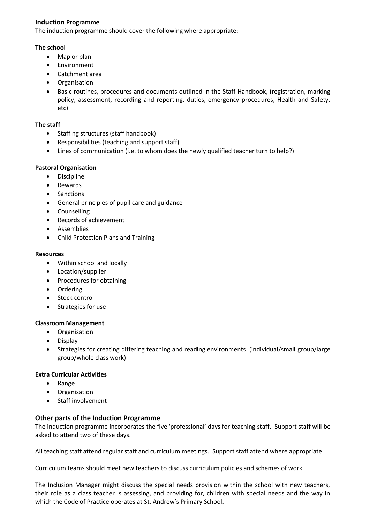#### **Induction Programme**

The induction programme should cover the following where appropriate:

#### **The school**

- Map or plan
- Environment
- Catchment area
- Organisation
- Basic routines, procedures and documents outlined in the Staff Handbook, (registration, marking policy, assessment, recording and reporting, duties, emergency procedures, Health and Safety, etc)

#### **The staff**

- Staffing structures (staff handbook)
- Responsibilities (teaching and support staff)
- Lines of communication (i.e. to whom does the newly qualified teacher turn to help?)

#### **Pastoral Organisation**

- Discipline
- Rewards
- Sanctions
- General principles of pupil care and guidance
- Counselling
- Records of achievement
- **•** Assemblies
- Child Protection Plans and Training

#### **Resources**

- Within school and locally
- Location/supplier
- Procedures for obtaining
- Ordering
- Stock control
- Strategies for use

#### **Classroom Management**

- **•** Organisation
- Display
- Strategies for creating differing teaching and reading environments (individual/small group/large group/whole class work)

#### **Extra Curricular Activities**

- Range
- Organisation
- Staff involvement

#### **Other parts of the Induction Programme**

The induction programme incorporates the five 'professional' days for teaching staff. Support staff will be asked to attend two of these days.

All teaching staff attend regular staff and curriculum meetings. Support staff attend where appropriate.

Curriculum teams should meet new teachers to discuss curriculum policies and schemes of work.

The Inclusion Manager might discuss the special needs provision within the school with new teachers, their role as a class teacher is assessing, and providing for, children with special needs and the way in which the Code of Practice operates at St. Andrew's Primary School.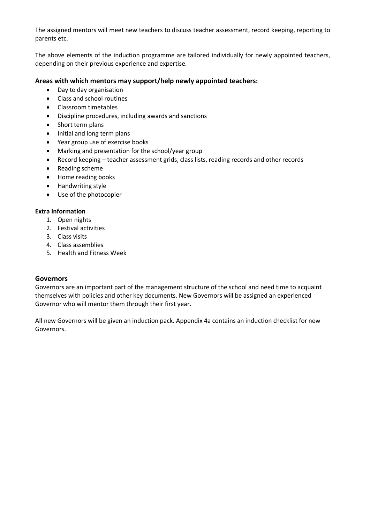The assigned mentors will meet new teachers to discuss teacher assessment, record keeping, reporting to parents etc.

The above elements of the induction programme are tailored individually for newly appointed teachers, depending on their previous experience and expertise.

#### **Areas with which mentors may support/help newly appointed teachers:**

- Day to day organisation
- Class and school routines
- Classroom timetables
- Discipline procedures, including awards and sanctions
- Short term plans
- Initial and long term plans
- Year group use of exercise books
- Marking and presentation for the school/year group
- Record keeping teacher assessment grids, class lists, reading records and other records
- Reading scheme
- Home reading books
- Handwriting style
- Use of the photocopier

#### **Extra Information**

- 1. Open nights
- 2. Festival activities
- 3. Class visits
- 4. Class assemblies
- 5. Health and Fitness Week

#### **Governors**

Governors are an important part of the management structure of the school and need time to acquaint themselves with policies and other key documents. New Governors will be assigned an experienced Governor who will mentor them through their first year.

All new Governors will be given an induction pack. Appendix 4a contains an induction checklist for new Governors.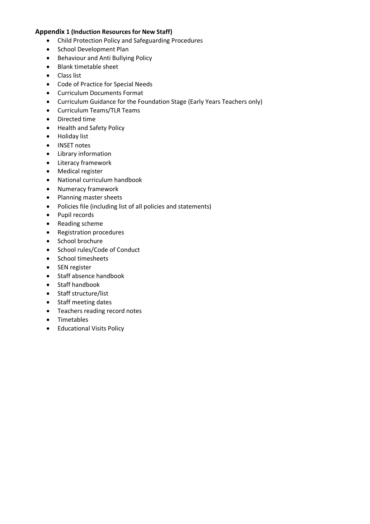#### **Appendix 1 (Induction Resources for New Staff)**

- Child Protection Policy and Safeguarding Procedures
- School Development Plan
- Behaviour and Anti Bullying Policy
- Blank timetable sheet
- **•** Class list
- Code of Practice for Special Needs
- Curriculum Documents Format
- Curriculum Guidance for the Foundation Stage (Early Years Teachers only)
- Curriculum Teams/TLR Teams
- Directed time
- Health and Safety Policy
- Holiday list
- INSET notes
- Library information
- Literacy framework
- Medical register
- National curriculum handbook
- Numeracy framework
- Planning master sheets
- Policies file (including list of all policies and statements)
- Pupil records
- Reading scheme
- Registration procedures
- School brochure
- School rules/Code of Conduct
- School timesheets
- SEN register
- Staff absence handbook
- Staff handbook
- Staff structure/list
- Staff meeting dates
- Teachers reading record notes
- Timetables
- **•** Educational Visits Policy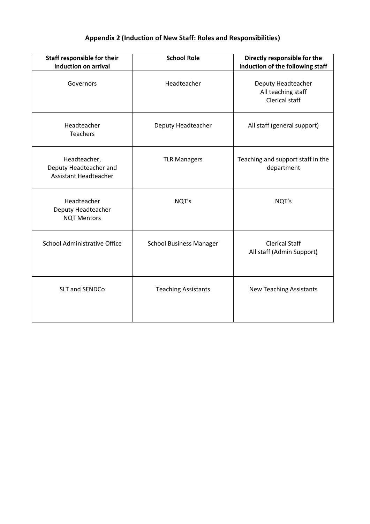# **Appendix 2 (Induction of New Staff: Roles and Responsibilities)**

| Staff responsible for their<br>induction on arrival                    | <b>School Role</b>             | Directly responsible for the<br>induction of the following staff  |
|------------------------------------------------------------------------|--------------------------------|-------------------------------------------------------------------|
| Governors                                                              | Headteacher                    | Deputy Headteacher<br>All teaching staff<br><b>Clerical staff</b> |
| Headteacher<br><b>Teachers</b>                                         | Deputy Headteacher             | All staff (general support)                                       |
| Headteacher,<br>Deputy Headteacher and<br><b>Assistant Headteacher</b> | <b>TLR Managers</b>            | Teaching and support staff in the<br>department                   |
| Headteacher<br>Deputy Headteacher<br><b>NQT Mentors</b>                | NQT's                          | NQT's                                                             |
| <b>School Administrative Office</b>                                    | <b>School Business Manager</b> | <b>Clerical Staff</b><br>All staff (Admin Support)                |
| <b>SLT and SENDCo</b>                                                  | <b>Teaching Assistants</b>     | <b>New Teaching Assistants</b>                                    |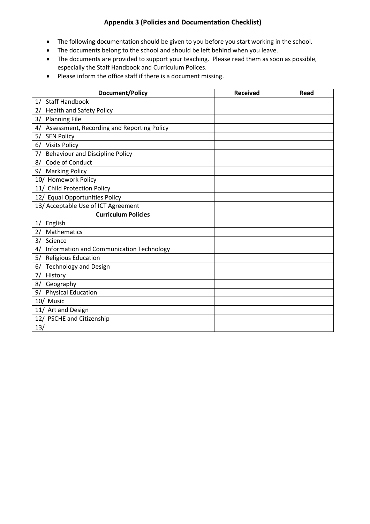### **Appendix 3 (Policies and Documentation Checklist)**

- The following documentation should be given to you before you start working in the school.
- The documents belong to the school and should be left behind when you leave.
- The documents are provided to support your teaching. Please read them as soon as possible, especially the Staff Handbook and Curriculum Polices.
- Please inform the office staff if there is a document missing.

| <b>Document/Policy</b>                           | <b>Received</b> | Read |
|--------------------------------------------------|-----------------|------|
| <b>Staff Handbook</b><br>1/                      |                 |      |
| <b>Health and Safety Policy</b><br>2/            |                 |      |
| <b>Planning File</b><br>3/                       |                 |      |
| Assessment, Recording and Reporting Policy<br>4/ |                 |      |
| <b>SEN Policy</b><br>5/                          |                 |      |
| <b>Visits Policy</b><br>6/                       |                 |      |
| <b>Behaviour and Discipline Policy</b><br>7/     |                 |      |
| Code of Conduct<br>8/                            |                 |      |
| <b>Marking Policy</b><br>9/                      |                 |      |
| 10/ Homework Policy                              |                 |      |
| 11/ Child Protection Policy                      |                 |      |
| 12/ Equal Opportunities Policy                   |                 |      |
| 13/ Acceptable Use of ICT Agreement              |                 |      |
| <b>Curriculum Policies</b>                       |                 |      |
| English<br>1/                                    |                 |      |
| Mathematics<br>2/                                |                 |      |
| Science<br>3/                                    |                 |      |
| Information and Communication Technology<br>4/   |                 |      |
| <b>Religious Education</b><br>5/                 |                 |      |
| <b>Technology and Design</b><br>6/               |                 |      |
| History<br>7/                                    |                 |      |
| Geography<br>8/                                  |                 |      |
| <b>Physical Education</b><br>9/                  |                 |      |
| 10/ Music                                        |                 |      |
| Art and Design<br>11/                            |                 |      |
| <b>PSCHE and Citizenship</b><br>12/              |                 |      |
| 13/                                              |                 |      |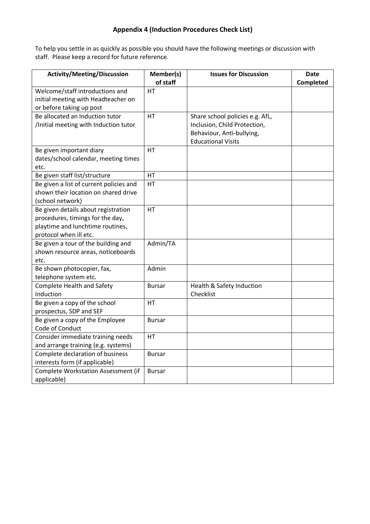# **Appendix 4 (Induction Procedures Check List)**

To help you settle in as quickly as possible you should have the following meetings or discussion with staff. Please keep a record for future reference.

| <b>Activity/Meeting/Discussion</b>         | Member(s)     | <b>Issues for Discussion</b>    | <b>Date</b> |
|--------------------------------------------|---------------|---------------------------------|-------------|
|                                            | of staff      |                                 | Completed   |
| Welcome/staff introductions and            | <b>HT</b>     |                                 |             |
| initial meeting with Headteacher on        |               |                                 |             |
| or before taking up post                   |               |                                 |             |
| Be allocated an Induction tutor            | HT            | Share school policies e.g. AfL, |             |
| /Initial meeting with Induction tutor      |               | Inclusion, Child Protection,    |             |
|                                            |               | Behaviour, Anti-bullying,       |             |
|                                            |               | <b>Educational Visits</b>       |             |
| Be given important diary                   | HT            |                                 |             |
| dates/school calendar, meeting times       |               |                                 |             |
| etc.                                       |               |                                 |             |
| Be given staff list/structure              | HT            |                                 |             |
| Be given a list of current policies and    | HT            |                                 |             |
| shown their location on shared drive       |               |                                 |             |
| (school network)                           |               |                                 |             |
| Be given details about registration        | HT            |                                 |             |
| procedures, timings for the day,           |               |                                 |             |
| playtime and lunchtime routines,           |               |                                 |             |
| protocol when ill etc.                     |               |                                 |             |
| Be given a tour of the building and        | Admin/TA      |                                 |             |
| shown resource areas, noticeboards         |               |                                 |             |
| etc.                                       |               |                                 |             |
| Be shown photocopier, fax,                 | Admin         |                                 |             |
| telephone system etc.                      |               |                                 |             |
| <b>Complete Health and Safety</b>          | <b>Bursar</b> | Health & Safety Induction       |             |
| Induction                                  |               | Checklist                       |             |
| Be given a copy of the school              | НT            |                                 |             |
| prospectus, SDP and SEF                    |               |                                 |             |
| Be given a copy of the Employee            | <b>Bursar</b> |                                 |             |
| Code of Conduct                            |               |                                 |             |
| Consider immediate training needs          | HT            |                                 |             |
| and arrange training (e.g. systems)        |               |                                 |             |
| Complete declaration of business           | <b>Bursar</b> |                                 |             |
| interests form (if applicable)             |               |                                 |             |
| <b>Complete Workstation Assessment (if</b> | <b>Bursar</b> |                                 |             |
| applicable)                                |               |                                 |             |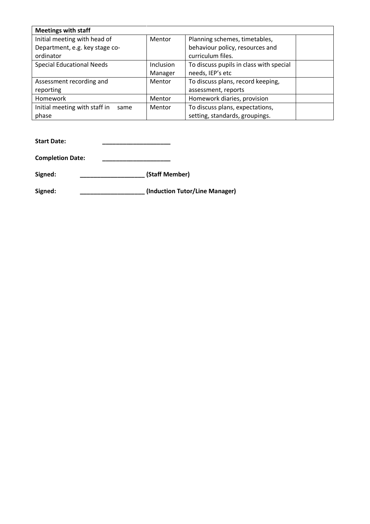| <b>Meetings with staff</b>            |           |                                         |  |
|---------------------------------------|-----------|-----------------------------------------|--|
| Initial meeting with head of          | Mentor    | Planning schemes, timetables,           |  |
| Department, e.g. key stage co-        |           | behaviour policy, resources and         |  |
| ordinator                             |           | curriculum files.                       |  |
| <b>Special Educational Needs</b>      | Inclusion | To discuss pupils in class with special |  |
|                                       | Manager   | needs, IEP's etc                        |  |
| Assessment recording and              | Mentor    | To discuss plans, record keeping,       |  |
| reporting                             |           | assessment, reports                     |  |
| Homework                              | Mentor    | Homework diaries, provision             |  |
| Initial meeting with staff in<br>same | Mentor    | To discuss plans, expectations,         |  |
| phase                                 |           | setting, standards, groupings.          |  |

**Start Date: \_\_\_\_\_\_\_\_\_\_\_\_\_\_\_\_\_\_\_\_**

**Completion Date: \_\_\_\_\_\_\_\_\_\_\_\_\_\_\_\_\_\_\_\_**

**Signed: \_\_\_\_\_\_\_\_\_\_\_\_\_\_\_\_\_\_\_ (Staff Member)**

**Signed: \_\_\_\_\_\_\_\_\_\_\_\_\_\_\_\_\_\_\_ (Induction Tutor/Line Manager)**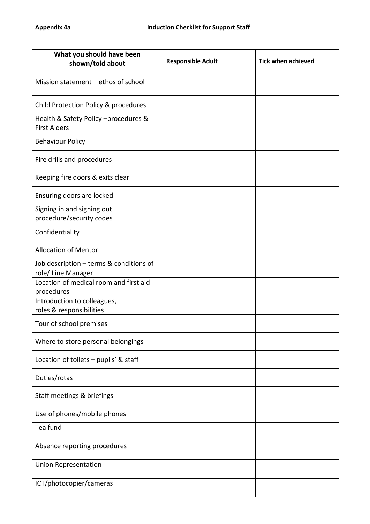| What you should have been<br>shown/told about                 | <b>Responsible Adult</b> | <b>Tick when achieved</b> |
|---------------------------------------------------------------|--------------------------|---------------------------|
| Mission statement - ethos of school                           |                          |                           |
| Child Protection Policy & procedures                          |                          |                           |
| Health & Safety Policy -procedures &<br><b>First Aiders</b>   |                          |                           |
| <b>Behaviour Policy</b>                                       |                          |                           |
| Fire drills and procedures                                    |                          |                           |
| Keeping fire doors & exits clear                              |                          |                           |
| Ensuring doors are locked                                     |                          |                           |
| Signing in and signing out<br>procedure/security codes        |                          |                           |
| Confidentiality                                               |                          |                           |
| <b>Allocation of Mentor</b>                                   |                          |                           |
| Job description - terms & conditions of<br>role/ Line Manager |                          |                           |
| Location of medical room and first aid<br>procedures          |                          |                           |
| Introduction to colleagues,<br>roles & responsibilities       |                          |                           |
| Tour of school premises                                       |                          |                           |
| Where to store personal belongings                            |                          |                           |
| Location of toilets $-$ pupils' & staff                       |                          |                           |
| Duties/rotas                                                  |                          |                           |
| Staff meetings & briefings                                    |                          |                           |
| Use of phones/mobile phones                                   |                          |                           |
| Tea fund                                                      |                          |                           |
| Absence reporting procedures                                  |                          |                           |
| <b>Union Representation</b>                                   |                          |                           |
| ICT/photocopier/cameras                                       |                          |                           |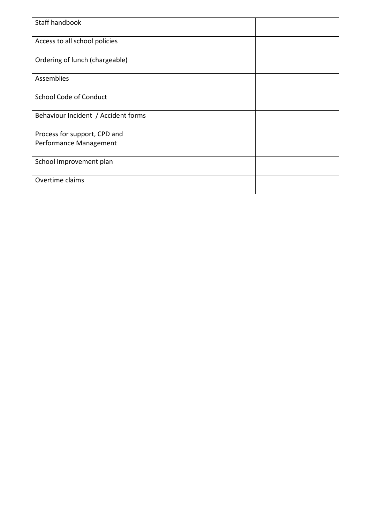| Staff handbook                      |  |
|-------------------------------------|--|
| Access to all school policies       |  |
| Ordering of lunch (chargeable)      |  |
| <b>Assemblies</b>                   |  |
| <b>School Code of Conduct</b>       |  |
| Behaviour Incident / Accident forms |  |
| Process for support, CPD and        |  |
| Performance Management              |  |
| School Improvement plan             |  |
| Overtime claims                     |  |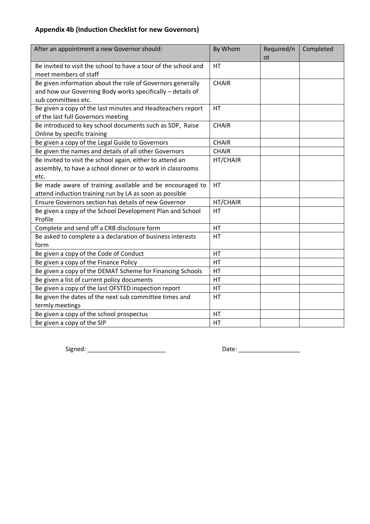# **Appendix 4b (Induction Checklist for new Governors)**

| After an appointment a new Governor should:                     | By Whom      | Required/n | Completed |
|-----------------------------------------------------------------|--------------|------------|-----------|
|                                                                 |              | <b>ot</b>  |           |
| Be invited to visit the school to have a tour of the school and | HT           |            |           |
| meet members of staff                                           |              |            |           |
| Be given information about the role of Governors generally      | <b>CHAIR</b> |            |           |
| and how our Governing Body works specifically - details of      |              |            |           |
| sub committees etc.                                             |              |            |           |
| Be given a copy of the last minutes and Headteachers report     | <b>HT</b>    |            |           |
| of the last full Governors meeting                              |              |            |           |
| Be introduced to key school documents such as SDP, Raise        | <b>CHAIR</b> |            |           |
| Online by specific training                                     |              |            |           |
| Be given a copy of the Legal Guide to Governors                 | <b>CHAIR</b> |            |           |
| Be given the names and details of all other Governors           | <b>CHAIR</b> |            |           |
| Be invited to visit the school again, either to attend an       | HT/CHAIR     |            |           |
| assembly, to have a school dinner or to work in classrooms      |              |            |           |
| etc.                                                            |              |            |           |
| Be made aware of training available and be encouraged to        | HT           |            |           |
| attend induction training run by LA as soon as possible         |              |            |           |
| Ensure Governors section has details of new Governor            | HT/CHAIR     |            |           |
| Be given a copy of the School Development Plan and School       | <b>HT</b>    |            |           |
| Profile                                                         |              |            |           |
| Complete and send off a CRB disclosure form                     | HT           |            |           |
| Be asked to complete a a declaration of business interests      | <b>HT</b>    |            |           |
| form                                                            |              |            |           |
| Be given a copy of the Code of Conduct                          | HT           |            |           |
| Be given a copy of the Finance Policy                           | HT           |            |           |
| Be given a copy of the DEMAT Scheme for Financing Schools       | HT           |            |           |
| Be given a list of current policy documents                     | HT           |            |           |
| Be given a copy of the last OFSTED inspection report            | HT           |            |           |
| Be given the dates of the next sub committee times and          | <b>HT</b>    |            |           |
| termly meetings                                                 |              |            |           |
| Be given a copy of the school prospectus                        | HT           |            |           |
| Be given a copy of the SIP                                      | HT           |            |           |

Signed: \_\_\_\_\_\_\_\_\_\_\_\_\_\_\_\_\_\_\_\_\_\_\_ Date: \_\_\_\_\_\_\_\_\_\_\_\_\_\_\_\_\_\_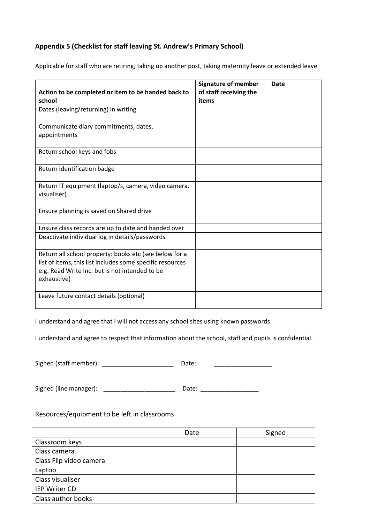# **Appendix 5 (Checklist for staff leaving St. Andrew's Primary School)**

| Action to be completed or item to be handed back to<br>school                                                                                                                        | <b>Signature of member</b><br>of staff receiving the<br>items | Date |
|--------------------------------------------------------------------------------------------------------------------------------------------------------------------------------------|---------------------------------------------------------------|------|
| Dates (leaving/returning) in writing                                                                                                                                                 |                                                               |      |
| Communicate diary commitments, dates,<br>appointments                                                                                                                                |                                                               |      |
| Return school keys and fobs                                                                                                                                                          |                                                               |      |
| Return identification badge                                                                                                                                                          |                                                               |      |
| Return IT equipment (laptop/s, camera, video camera,<br>visualiser)                                                                                                                  |                                                               |      |
| Ensure planning is saved on Shared drive                                                                                                                                             |                                                               |      |
| Ensure class records are up to date and handed over                                                                                                                                  |                                                               |      |
| Deactivate individual log in details/passwords                                                                                                                                       |                                                               |      |
| Return all school property: books etc (see below for a<br>list of items, this list includes some specific resources<br>e.g. Read Write Inc. but is not intended to be<br>exhaustive) |                                                               |      |
| Leave future contact details (optional)                                                                                                                                              |                                                               |      |

Applicable for staff who are retiring, taking up another post, taking maternity leave or extended leave.

I understand and agree that I will not access any school sites using known passwords.

I understand and agree to respect that information about the school, staff and pupils is confidential.

| Signed (staff member): | Date: |  |
|------------------------|-------|--|
|                        |       |  |

Signed (line manager): \_\_\_\_\_\_\_\_\_\_\_\_\_\_\_\_\_\_\_\_\_ Date: \_\_\_\_\_\_\_\_\_\_\_\_\_\_\_\_\_

# Resources/equipment to be left in classrooms

|                         | Date | Signed |
|-------------------------|------|--------|
| Classroom keys          |      |        |
| Class camera            |      |        |
| Class Flip video camera |      |        |
| Laptop                  |      |        |
| Class visualiser        |      |        |
| IEP Writer CD           |      |        |
| Class author books      |      |        |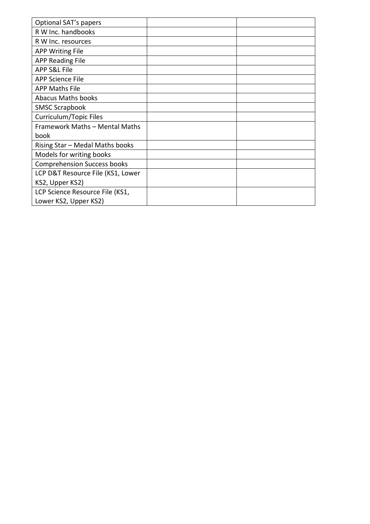| Optional SAT's papers              |  |
|------------------------------------|--|
| R W Inc. handbooks                 |  |
| R W Inc. resources                 |  |
| <b>APP Writing File</b>            |  |
| <b>APP Reading File</b>            |  |
| <b>APP S&amp;L File</b>            |  |
| <b>APP Science File</b>            |  |
| <b>APP Maths File</b>              |  |
| <b>Abacus Maths books</b>          |  |
| <b>SMSC Scrapbook</b>              |  |
| Curriculum/Topic Files             |  |
| Framework Maths - Mental Maths     |  |
| book                               |  |
| Rising Star - Medal Maths books    |  |
| Models for writing books           |  |
| <b>Comprehension Success books</b> |  |
| LCP D&T Resource File (KS1, Lower  |  |
| KS2, Upper KS2)                    |  |
| LCP Science Resource File (KS1,    |  |
| Lower KS2, Upper KS2)              |  |